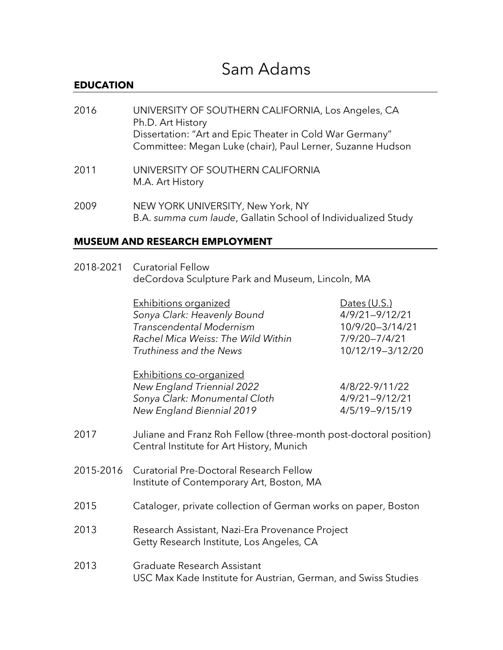# Sam Adams

### **EDUCATION**

| 2016 | UNIVERSITY OF SOUTHERN CALIFORNIA, Los Angeles, CA<br>Ph.D. Art History<br>Dissertation: "Art and Epic Theater in Cold War Germany"<br>Committee: Megan Luke (chair), Paul Lerner, Suzanne Hudson |
|------|---------------------------------------------------------------------------------------------------------------------------------------------------------------------------------------------------|
| 2011 | UNIVERSITY OF SOUTHERN CALIFORNIA<br>M.A. Art History                                                                                                                                             |

2009 NEW YORK UNIVERSITY, New York, NY B.A. *summa cum laude*, Gallatin School of Individualized Study

### **MUSEUM AND RESEARCH EMPLOYMENT**

| 2018-2021 Curatorial Fellow                      |  |
|--------------------------------------------------|--|
| deCordova Sculpture Park and Museum, Lincoln, MA |  |

| <b>Exhibitions organized</b>       | Dates $(U.S.)$     |  |
|------------------------------------|--------------------|--|
| Sonya Clark: Heavenly Bound        | $4/9/21 - 9/12/21$ |  |
| <b>Transcendental Modernism</b>    | 10/9/20-3/14/21    |  |
| Rachel Mica Weiss: The Wild Within | 7/9/20-7/4/21      |  |
| Truthiness and the News            | 10/12/19-3/12/20   |  |
| <b>Exhibitions co-organized</b>    |                    |  |
| <b>New England Triennial 2022</b>  | 4/8/22-9/11/22     |  |
| Sonya Clark: Monumental Cloth      | $4/9/21 - 9/12/21$ |  |

*New England Biennial 2019* 4/5/19—9/15/19

- 2017 Juliane and Franz Roh Fellow (three-month post-doctoral position) Central Institute for Art History, Munich
- 2015-2016 Curatorial Pre-Doctoral Research Fellow Institute of Contemporary Art, Boston, MA
- 2015 Cataloger, private collection of German works on paper, Boston
- 2013 Research Assistant, Nazi-Era Provenance Project Getty Research Institute, Los Angeles, CA
- 2013 Graduate Research Assistant USC Max Kade Institute for Austrian, German, and Swiss Studies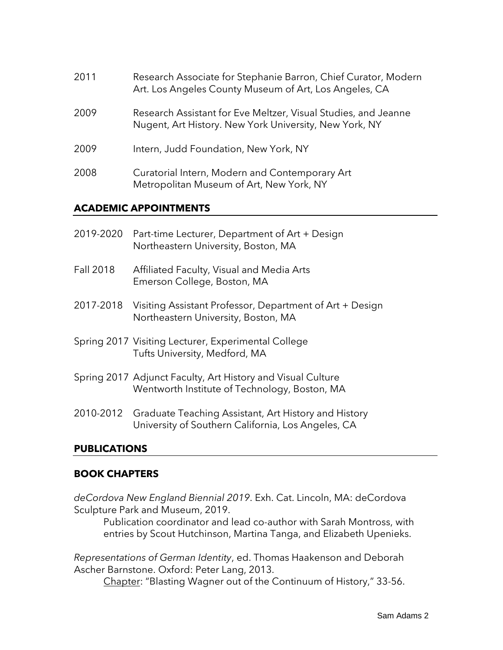| 2011 | Research Associate for Stephanie Barron, Chief Curator, Modern<br>Art. Los Angeles County Museum of Art, Los Angeles, CA |
|------|--------------------------------------------------------------------------------------------------------------------------|
| 2009 | Research Assistant for Eve Meltzer, Visual Studies, and Jeanne<br>Nugent, Art History. New York University, New York, NY |
| 2009 | Intern, Judd Foundation, New York, NY                                                                                    |
| 2008 | Curatorial Intern, Modern and Contemporary Art<br>Metropolitan Museum of Art, New York, NY                               |

### **ACADEMIC APPOINTMENTS**

| 2019-2020        | Part-time Lecturer, Department of Art + Design<br>Northeastern University, Boston, MA                                |
|------------------|----------------------------------------------------------------------------------------------------------------------|
| <b>Fall 2018</b> | Affiliated Faculty, Visual and Media Arts<br>Emerson College, Boston, MA                                             |
| 2017-2018        | Visiting Assistant Professor, Department of Art + Design<br>Northeastern University, Boston, MA                      |
|                  | Spring 2017 Visiting Lecturer, Experimental College<br>Tufts University, Medford, MA                                 |
|                  | Spring 2017 Adjunct Faculty, Art History and Visual Culture<br>Wentworth Institute of Technology, Boston, MA         |
|                  | 2010-2012 Graduate Teaching Assistant, Art History and History<br>University of Southern California, Los Angeles, CA |

# **PUBLICATIONS**

# **BOOK CHAPTERS**

*deCordova New England Biennial 2019*. Exh. Cat. Lincoln, MA: deCordova Sculpture Park and Museum, 2019.

Publication coordinator and lead co-author with Sarah Montross, with entries by Scout Hutchinson, Martina Tanga, and Elizabeth Upenieks.

*Representations of German Identity*, ed. Thomas Haakenson and Deborah Ascher Barnstone. Oxford: Peter Lang, 2013.

Chapter: "Blasting Wagner out of the Continuum of History," 33-56.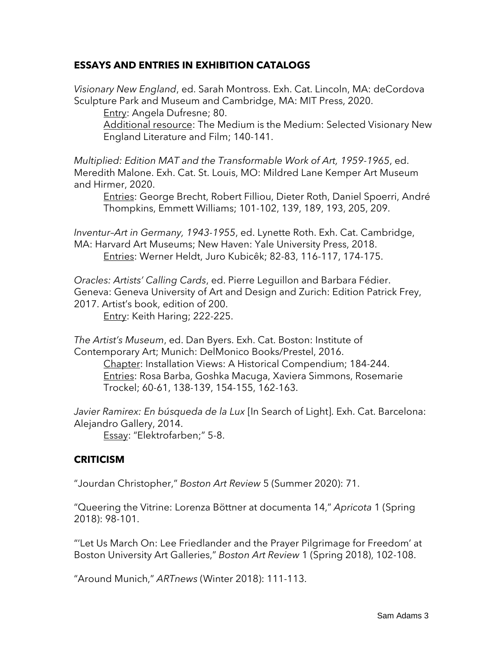# **ESSAYS AND ENTRIES IN EXHIBITION CATALOGS**

*Visionary New England*, ed. Sarah Montross. Exh. Cat. Lincoln, MA: deCordova Sculpture Park and Museum and Cambridge, MA: MIT Press, 2020.

Entry: Angela Dufresne; 80.

Additional resource: The Medium is the Medium: Selected Visionary New England Literature and Film; 140-141.

*Multiplied: Edition MAT and the Transformable Work of Art, 1959-1965*, ed. Meredith Malone. Exh. Cat. St. Louis, MO: Mildred Lane Kemper Art Museum and Hirmer, 2020.

Entries: George Brecht, Robert Filliou, Dieter Roth, Daniel Spoerri, André Thompkins, Emmett Williams; 101-102, 139, 189, 193, 205, 209.

*Inventur–Art in Germany, 1943-1955*, ed. Lynette Roth. Exh. Cat. Cambridge, MA: Harvard Art Museums; New Haven: Yale University Press, 2018. Entries: Werner Heldt, Juro Kubicêk; 82-83, 116-117, 174-175.

*Oracles: Artists' Calling Cards*, ed. Pierre Leguillon and Barbara Fédier. Geneva: Geneva University of Art and Design and Zurich: Edition Patrick Frey, 2017. Artist's book, edition of 200.

Entry: Keith Haring; 222-225.

*The Artist's Museum*, ed. Dan Byers. Exh. Cat. Boston: Institute of Contemporary Art; Munich: DelMonico Books/Prestel, 2016.

Chapter: Installation Views: A Historical Compendium; 184-244. Entries: Rosa Barba, Goshka Macuga, Xaviera Simmons, Rosemarie Trockel; 60-61, 138-139, 154-155, 162-163.

*Javier Ramirex: En búsqueda de la Lux* [In Search of Light]. Exh. Cat. Barcelona: Alejandro Gallery, 2014.

Essay: "Elektrofarben;" 5-8.

# **CRITICISM**

"Jourdan Christopher," *Boston Art Review* 5 (Summer 2020): 71.

"Queering the Vitrine: Lorenza Böttner at documenta 14," *Apricota* 1 (Spring 2018): 98-101.

"'Let Us March On: Lee Friedlander and the Prayer Pilgrimage for Freedom' at Boston University Art Galleries," *Boston Art Review* 1 (Spring 2018), 102-108.

"Around Munich," *ARTnews* (Winter 2018): 111-113.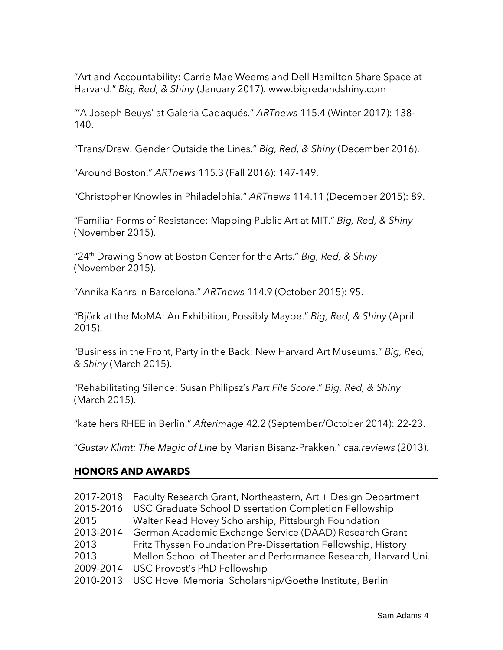"Art and Accountability: Carrie Mae Weems and Dell Hamilton Share Space at Harvard." *Big, Red, & Shiny* (January 2017). www.bigredandshiny.com

"'A Joseph Beuys' at Galeria Cadaqués." *ARTnews* 115.4 (Winter 2017): 138- 140.

"Trans/Draw: Gender Outside the Lines." *Big, Red, & Shiny* (December 2016).

"Around Boston." *ARTnews* 115.3 (Fall 2016): 147-149.

"Christopher Knowles in Philadelphia." *ARTnews* 114.11 (December 2015): 89.

"Familiar Forms of Resistance: Mapping Public Art at MIT." *Big, Red, & Shiny* (November 2015).

"24th Drawing Show at Boston Center for the Arts." *Big, Red, & Shiny* (November 2015).

"Annika Kahrs in Barcelona." *ARTnews* 114.9 (October 2015): 95.

"Björk at the MoMA: An Exhibition, Possibly Maybe." *Big, Red, & Shiny* (April 2015).

"Business in the Front, Party in the Back: New Harvard Art Museums." *Big, Red, & Shiny* (March 2015).

"Rehabilitating Silence: Susan Philipsz's *Part File Score*." *Big, Red, & Shiny* (March 2015).

"kate hers RHEE in Berlin." *Afterimage* 42.2 (September/October 2014): 22-23.

"*Gustav Klimt: The Magic of Line* by Marian Bisanz-Prakken." *caa.reviews* (2013).

# **HONORS AND AWARDS**

| 2017-2018 | Faculty Research Grant, Northeastern, Art + Design Department   |
|-----------|-----------------------------------------------------------------|
| 2015-2016 | USC Graduate School Dissertation Completion Fellowship          |
| 2015      | Walter Read Hovey Scholarship, Pittsburgh Foundation            |
| 2013-2014 | German Academic Exchange Service (DAAD) Research Grant          |
| 2013      | Fritz Thyssen Foundation Pre-Dissertation Fellowship, History   |
| 2013      | Mellon School of Theater and Performance Research, Harvard Uni. |
| 2009-2014 | USC Provost's PhD Fellowship                                    |
| 2010-2013 | USC Hovel Memorial Scholarship/Goethe Institute, Berlin         |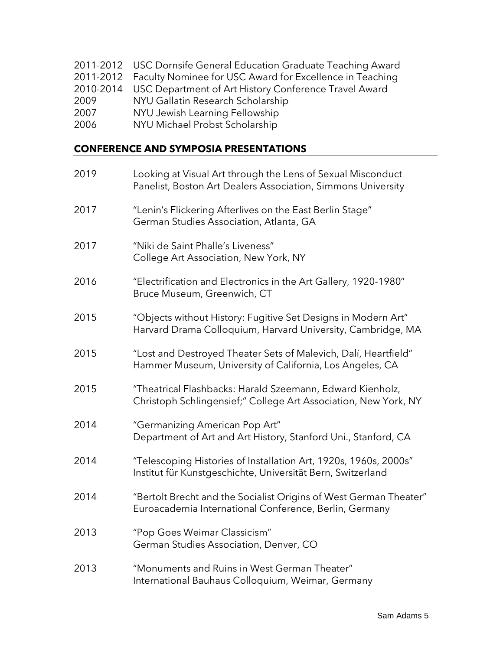- 2011-2012 USC Dornsife General Education Graduate Teaching Award
- 2011-2012 Faculty Nominee for USC Award for Excellence in Teaching
- 2010-2014 USC Department of Art History Conference Travel Award
- 2009 NYU Gallatin Research Scholarship
- 2007 NYU Jewish Learning Fellowship
- 2006 NYU Michael Probst Scholarship

### **CONFERENCE AND SYMPOSIA PRESENTATIONS**

| 2019 | Looking at Visual Art through the Lens of Sexual Misconduct<br>Panelist, Boston Art Dealers Association, Simmons University     |
|------|---------------------------------------------------------------------------------------------------------------------------------|
| 2017 | "Lenin's Flickering Afterlives on the East Berlin Stage"<br>German Studies Association, Atlanta, GA                             |
| 2017 | "Niki de Saint Phalle's Liveness"<br>College Art Association, New York, NY                                                      |
| 2016 | "Electrification and Electronics in the Art Gallery, 1920-1980"<br>Bruce Museum, Greenwich, CT                                  |
| 2015 | "Objects without History: Fugitive Set Designs in Modern Art"<br>Harvard Drama Colloquium, Harvard University, Cambridge, MA    |
| 2015 | "Lost and Destroyed Theater Sets of Malevich, Dalí, Heartfield"<br>Hammer Museum, University of California, Los Angeles, CA     |
| 2015 | "Theatrical Flashbacks: Harald Szeemann, Edward Kienholz,<br>Christoph Schlingensief;" College Art Association, New York, NY    |
| 2014 | "Germanizing American Pop Art"<br>Department of Art and Art History, Stanford Uni., Stanford, CA                                |
| 2014 | "Telescoping Histories of Installation Art, 1920s, 1960s, 2000s"<br>Institut für Kunstgeschichte, Universität Bern, Switzerland |
| 2014 | "Bertolt Brecht and the Socialist Origins of West German Theater"<br>Euroacademia International Conference, Berlin, Germany     |
| 2013 | "Pop Goes Weimar Classicism"<br>German Studies Association, Denver, CO                                                          |
| 2013 | "Monuments and Ruins in West German Theater"<br>International Bauhaus Colloquium, Weimar, Germany                               |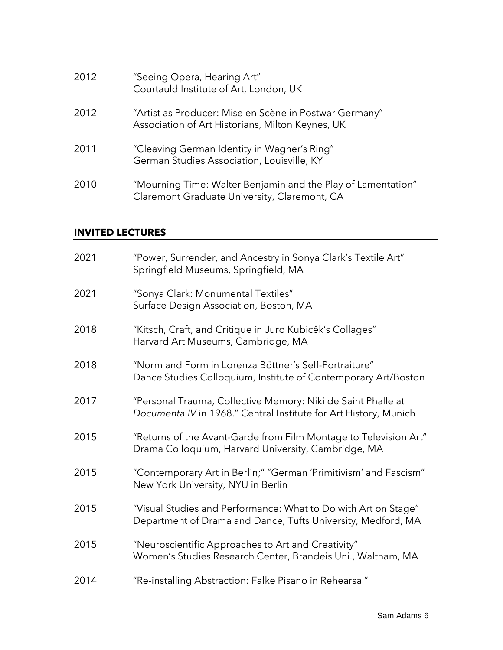| 2012 | "Seeing Opera, Hearing Art"<br>Courtauld Institute of Art, London, UK                                        |
|------|--------------------------------------------------------------------------------------------------------------|
| 2012 | "Artist as Producer: Mise en Scène in Postwar Germany"<br>Association of Art Historians, Milton Keynes, UK   |
| 2011 | "Cleaving German Identity in Wagner's Ring"<br>German Studies Association, Louisville, KY                    |
| 2010 | "Mourning Time: Walter Benjamin and the Play of Lamentation"<br>Claremont Graduate University, Claremont, CA |

# **INVITED LECTURES**

| 2021 | "Power, Surrender, and Ancestry in Sonya Clark's Textile Art"<br>Springfield Museums, Springfield, MA                            |
|------|----------------------------------------------------------------------------------------------------------------------------------|
| 2021 | "Sonya Clark: Monumental Textiles"<br>Surface Design Association, Boston, MA                                                     |
| 2018 | "Kitsch, Craft, and Critique in Juro Kubicêk's Collages"<br>Harvard Art Museums, Cambridge, MA                                   |
| 2018 | "Norm and Form in Lorenza Böttner's Self-Portraiture"<br>Dance Studies Colloquium, Institute of Contemporary Art/Boston          |
| 2017 | "Personal Trauma, Collective Memory: Niki de Saint Phalle at<br>Documenta IV in 1968." Central Institute for Art History, Munich |
| 2015 | "Returns of the Avant-Garde from Film Montage to Television Art"<br>Drama Colloquium, Harvard University, Cambridge, MA          |
| 2015 | "Contemporary Art in Berlin;" "German 'Primitivism' and Fascism"<br>New York University, NYU in Berlin                           |
| 2015 | "Visual Studies and Performance: What to Do with Art on Stage"<br>Department of Drama and Dance, Tufts University, Medford, MA   |
| 2015 | "Neuroscientific Approaches to Art and Creativity"<br>Women's Studies Research Center, Brandeis Uni., Waltham, MA                |
| 2014 | "Re-installing Abstraction: Falke Pisano in Rehearsal"                                                                           |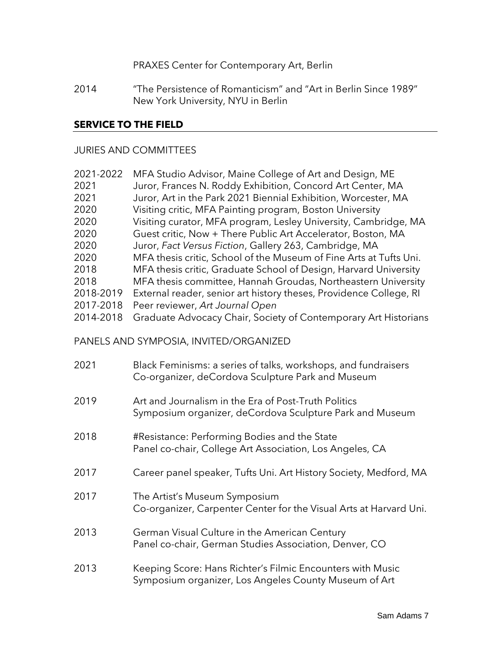PRAXES Center for Contemporary Art, Berlin

2014 "The Persistence of Romanticism" and "Art in Berlin Since 1989" New York University, NYU in Berlin

### **SERVICE TO THE FIELD**

#### JURIES AND COMMITTEES

| 2021-2022 | MFA Studio Advisor, Maine College of Art and Design, ME            |
|-----------|--------------------------------------------------------------------|
| 2021      | Juror, Frances N. Roddy Exhibition, Concord Art Center, MA         |
| 2021      | Juror, Art in the Park 2021 Biennial Exhibition, Worcester, MA     |
| 2020      | Visiting critic, MFA Painting program, Boston University           |
| 2020      | Visiting curator, MFA program, Lesley University, Cambridge, MA    |
| 2020      | Guest critic, Now + There Public Art Accelerator, Boston, MA       |
| 2020      | Juror, Fact Versus Fiction, Gallery 263, Cambridge, MA             |
| 2020      | MFA thesis critic, School of the Museum of Fine Arts at Tufts Uni. |
| 2018      | MFA thesis critic, Graduate School of Design, Harvard University   |
| 2018      | MFA thesis committee, Hannah Groudas, Northeastern University      |
| 2018-2019 | External reader, senior art history theses, Providence College, RI |
| 2017-2018 | Peer reviewer, Art Journal Open                                    |
| 2014-2018 | Graduate Advocacy Chair, Society of Contemporary Art Historians    |
|           |                                                                    |

PANELS AND SYMPOSIA, INVITED/ORGANIZED

| 2021 | Black Feminisms: a series of talks, workshops, and fundraisers<br>Co-organizer, deCordova Sculpture Park and Museum |
|------|---------------------------------------------------------------------------------------------------------------------|
| 2019 | Art and Journalism in the Era of Post-Truth Politics<br>Symposium organizer, deCordova Sculpture Park and Museum    |
| 2018 | #Resistance: Performing Bodies and the State<br>Panel co-chair, College Art Association, Los Angeles, CA            |
| 2017 | Career panel speaker, Tufts Uni. Art History Society, Medford, MA                                                   |
| 2017 | The Artist's Museum Symposium<br>Co-organizer, Carpenter Center for the Visual Arts at Harvard Uni.                 |
| 2013 | German Visual Culture in the American Century<br>Panel co-chair, German Studies Association, Denver, CO             |
| 2013 | Keeping Score: Hans Richter's Filmic Encounters with Music<br>Symposium organizer, Los Angeles County Museum of Art |